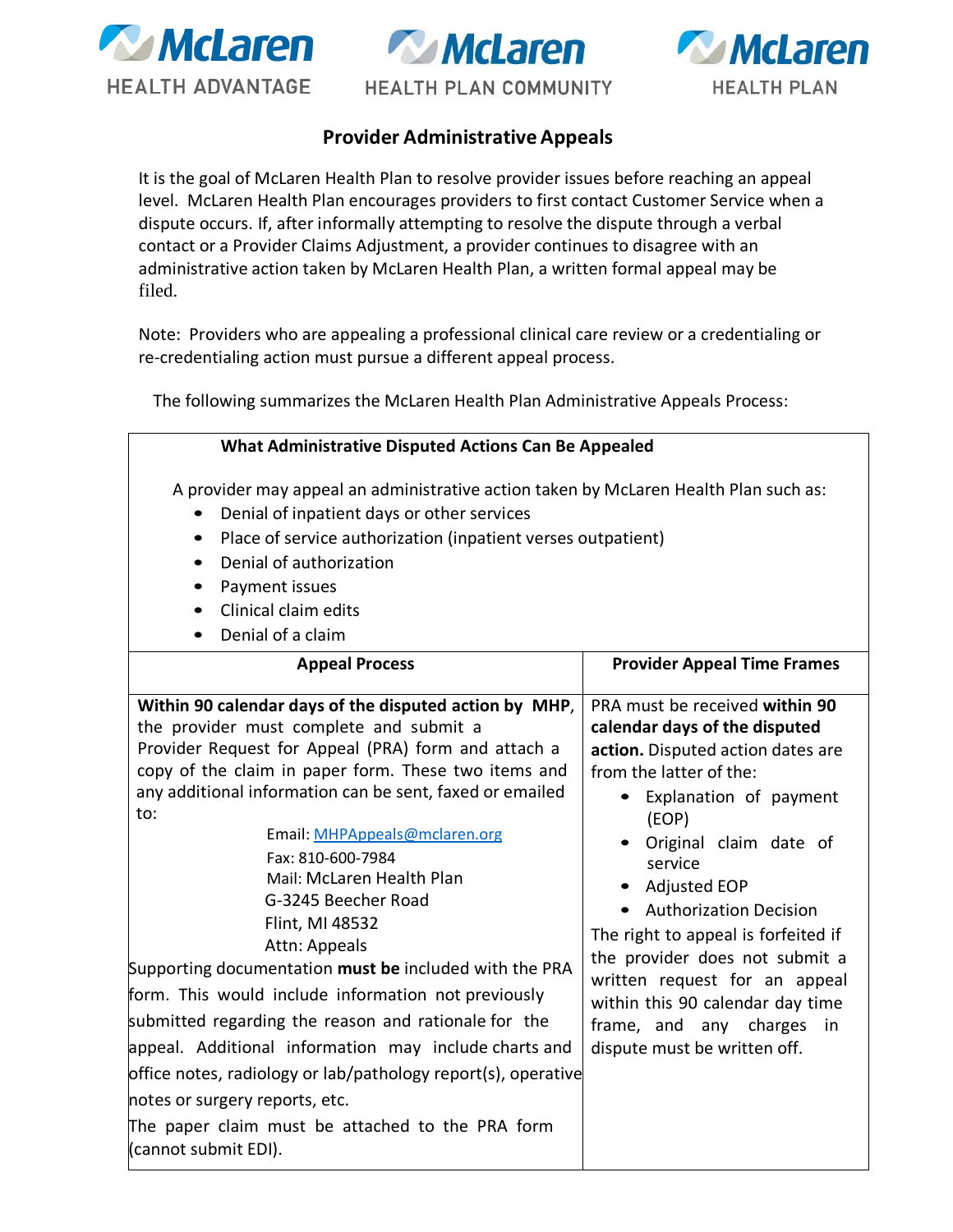





**HEALTH PLAN COMMUNITY** 

## **Provider Administrative Appeals**

It is the goal of McLaren Health Plan to resolve provider issues before reaching an appeal level. McLaren Health Plan encourages providers to first contact Customer Service when a dispute occurs. If, after informally attempting to resolve the dispute through a verbal contact or a Provider Claims Adjustment, a provider continues to disagree with an administrative action taken by McLaren Health Plan, a written formal appeal may be filed.

Note: Providers who are appealing a professional clinical care review or a credentialing or re-credentialing action must pursue a different appeal process.

The following summarizes the McLaren Health Plan Administrative Appeals Process:

### **What Administrative Disputed Actions Can Be Appealed**

A provider may appeal an administrative action taken by McLaren Health Plan such as:

- Denial of inpatient days or other services
- Place of service authorization (inpatient verses outpatient)
- Denial of authorization
- Payment issues
- Clinical claim edits
- Denial of a claim

| <b>Appeal Process</b>                                                                                                                                                                                                                                                                                                                                                                                                                                                                                                                                                                                                                                                                                                                                                                                                                              | <b>Provider Appeal Time Frames</b>                                                                                                                                                                                                                                                                                                                                                                                                                                            |  |
|----------------------------------------------------------------------------------------------------------------------------------------------------------------------------------------------------------------------------------------------------------------------------------------------------------------------------------------------------------------------------------------------------------------------------------------------------------------------------------------------------------------------------------------------------------------------------------------------------------------------------------------------------------------------------------------------------------------------------------------------------------------------------------------------------------------------------------------------------|-------------------------------------------------------------------------------------------------------------------------------------------------------------------------------------------------------------------------------------------------------------------------------------------------------------------------------------------------------------------------------------------------------------------------------------------------------------------------------|--|
| Within 90 calendar days of the disputed action by MHP,<br>the provider must complete and submit a<br>Provider Request for Appeal (PRA) form and attach a<br>copy of the claim in paper form. These two items and<br>any additional information can be sent, faxed or emailed<br>to:<br>Email: MHPAppeals@mclaren.org<br>Fax: 810-600-7984<br>Mail: McLaren Health Plan<br>G-3245 Beecher Road<br>Flint, MI 48532<br>Attn: Appeals<br>Supporting documentation must be included with the PRA<br>form. This would include information not previously<br>submitted regarding the reason and rationale for the<br>appeal. Additional information may include charts and<br>office notes, radiology or lab/pathology report(s), operative<br>notes or surgery reports, etc.<br>The paper claim must be attached to the PRA form<br>(cannot submit EDI). | PRA must be received within 90<br>calendar days of the disputed<br>action. Disputed action dates are<br>from the latter of the:<br>Explanation of payment<br>(EOP)<br>Original claim date of<br>service<br><b>Adjusted EOP</b><br><b>Authorization Decision</b><br>The right to appeal is forfeited if<br>the provider does not submit a<br>written request for an appeal<br>within this 90 calendar day time<br>frame, and any charges<br>in<br>dispute must be written off. |  |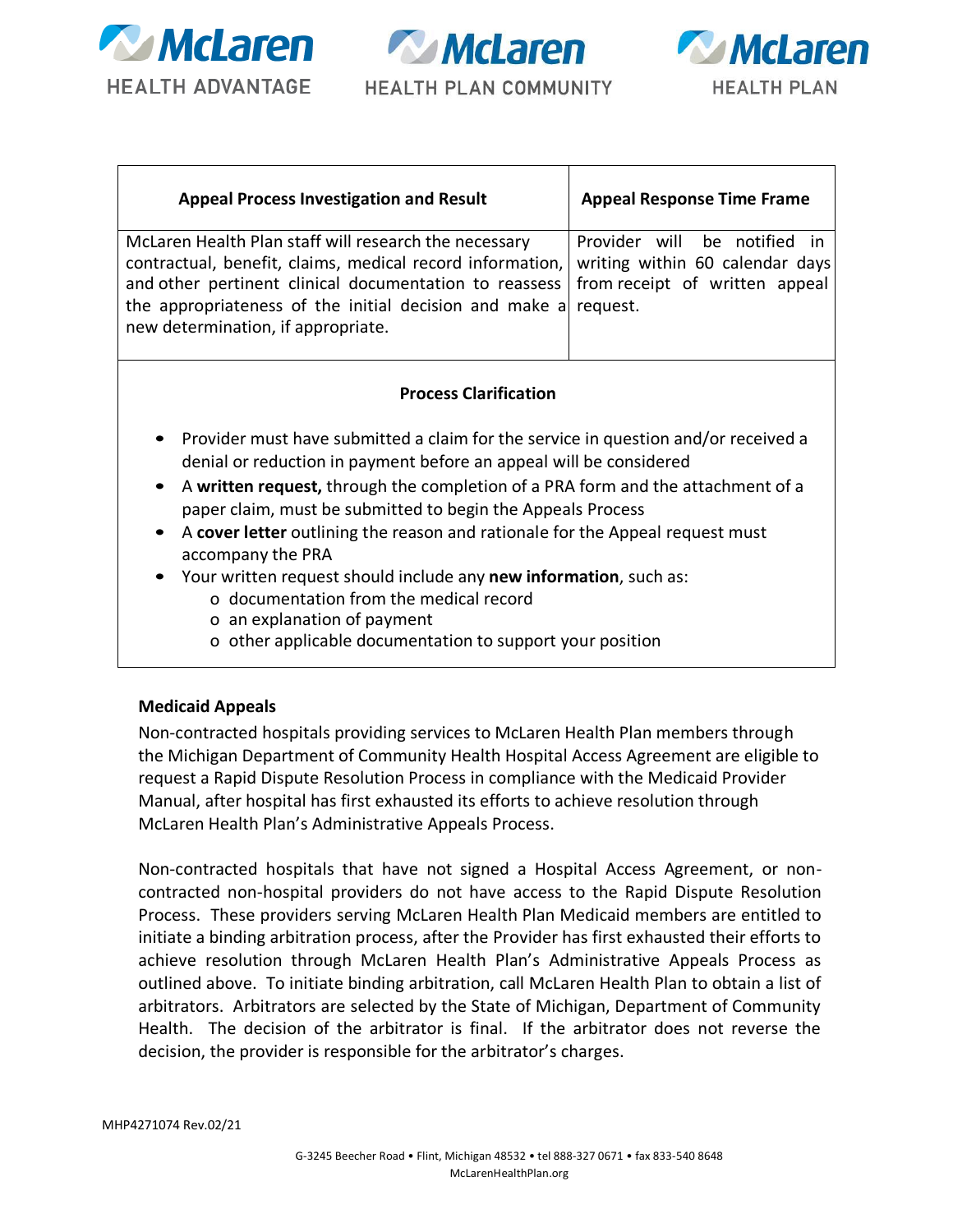

**Writer HEALTH PLAN COMMUNITY** 



| <b>Appeal Process Investigation and Result</b>                                                                                                                                                                                                                                                                                                         | <b>Appeal Response Time Frame</b> |
|--------------------------------------------------------------------------------------------------------------------------------------------------------------------------------------------------------------------------------------------------------------------------------------------------------------------------------------------------------|-----------------------------------|
| McLaren Health Plan staff will research the necessary<br>contractual, benefit, claims, medical record information, writing within 60 calendar days<br>and other pertinent clinical documentation to reassess   from receipt of written appeal<br>the appropriateness of the initial decision and make a request.<br>new determination, if appropriate. | Provider will be notified in      |
|                                                                                                                                                                                                                                                                                                                                                        |                                   |

#### **Process Clarification**

- Provider must have submitted a claim for the service in question and/or received a denial or reduction in payment before an appeal will be considered
- A **written request,** through the completion of a PRA form and the attachment of a paper claim, must be submitted to begin the Appeals Process
- A **cover letter** outlining the reason and rationale for the Appeal request must accompany the PRA
- Your written request should include any **new information**, such as:
	- o documentation from the medical record
	- o an explanation of payment
	- o other applicable documentation to support your position

#### **Medicaid Appeals**

Non-contracted hospitals providing services to McLaren Health Plan members through the Michigan Department of Community Health Hospital Access Agreement are eligible to request a Rapid Dispute Resolution Process in compliance with the Medicaid Provider Manual, after hospital has first exhausted its efforts to achieve resolution through McLaren Health Plan's Administrative Appeals Process.

Non-contracted hospitals that have not signed a Hospital Access Agreement, or noncontracted non-hospital providers do not have access to the Rapid Dispute Resolution Process. These providers serving McLaren Health Plan Medicaid members are entitled to initiate a binding arbitration process, after the Provider has first exhausted their efforts to achieve resolution through McLaren Health Plan's Administrative Appeals Process as outlined above. To initiate binding arbitration, call McLaren Health Plan to obtain a list of arbitrators. Arbitrators are selected by the State of Michigan, Department of Community Health. The decision of the arbitrator is final. If the arbitrator does not reverse the decision, the provider is responsible for the arbitrator's charges.